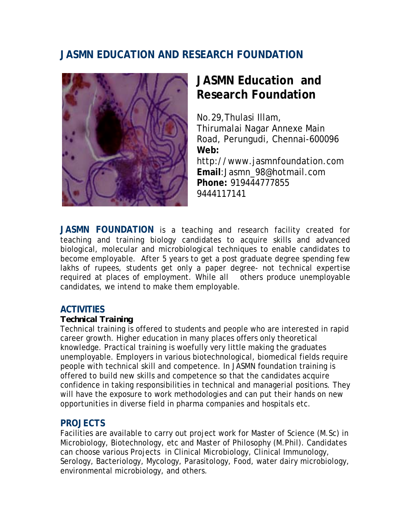# **JASMN EDUCATION AND RESEARCH FOUNDATION**



# **JASMN Education and Research Foundation**

No.29,Thulasi Illam, Thirumalai Nagar Annexe Main Road, Perungudi, Chennai-600096 **Web:** http://www.jasmnfoundation.com **Email**:Jasmn\_98@hotmail.com **Phone:** 919444777855 9444117141

**JASMN FOUNDATION** is a teaching and research facility created for teaching and training biology candidates to acquire skills and advanced biological, molecular and microbiological techniques to enable candidates to become employable. After 5 years to get a post graduate degree spending few lakhs of rupees, students get only a paper degree- not technical expertise required at places of employment. While all others produce unemployable candidates, we intend to make them employable.

# **ACTIVITIES**

## *Technical Training*

Technical training is offered to students and people who are interested in rapid career growth. Higher education in many places offers only theoretical knowledge. Practical training is woefully very little making the graduates unemployable. Employers in various biotechnological, biomedical fields require people with technical skill and competence. In JASMN foundation training is offered to build new skills and competence so that the candidates acquire confidence in taking responsibilities in technical and managerial positions. They will have the exposure to work methodologies and can put their hands on new opportunities in diverse field in pharma companies and hospitals etc.

# **PROJECTS**

Facilities are available to carry out project work for Master of Science (M.Sc) in Microbiology, Biotechnology, etc and Master of Philosophy (M.Phil). Candidates can choose various Projects in Clinical Microbiology, Clinical Immunology, Serology, Bacteriology, Mycology, Parasitology, Food, water dairy microbiology, environmental microbiology, and others.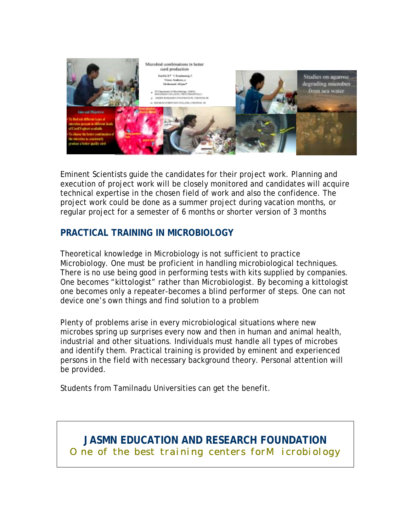

Eminent Scientists guide the candidates for their project work. Planning and execution of project work will be closely monitored and candidates will acquire technical expertise in the chosen field of work and also the confidence. The project work could be done as a summer project during vacation months, or regular project for a semester of 6 months or shorter version of 3 months

# **PRACTICAL TRAINING IN MICROBIOLOGY**

Theoretical knowledge in Microbiology is not sufficient to practice Microbiology. One must be proficient in handling microbiological techniques. There is no use being good in performing tests with kits supplied by companies. One becomes "kittologist" rather than Microbiologist. By becoming a kittologist one becomes only a repeater-becomes a blind performer of steps. One can not device one's own things and find solution to a problem

Plenty of problems arise in every microbiological situations where new microbes spring up surprises every now and then in human and animal health, industrial and other situations. Individuals must handle all types of microbes and identify them. Practical training is provided by eminent and experienced persons in the field with necessary background theory. Personal attention will be provided.

Students from Tamilnadu Universities can get the benefit.

# **JASMN EDUCATION AND RESEARCH FOUNDATION** *One of the best training centers forMicrobiology*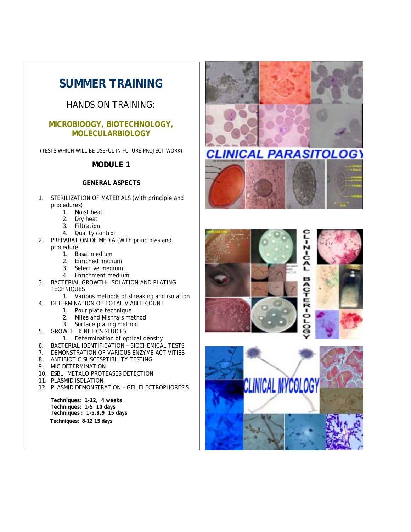# **SUMMER TRAINING**

# HANDS ON TRAINING:

## **MICROBIOOGY, BIOTECHNOLOGY, MOLECULARBIOLOGY**

(TESTS WHICH WILL BE USEFUL IN FUTURE PROJECT WORK)

## **MODULE 1**

#### **GENERAL ASPECTS**

- 1. STERILIZATION OF MATERIALS (with principle and procedures)
	- 1. Moist heat
	- 2. Dry heat
	- 3. Filtration
	- 4. Quality control
- 2. PREPARATION OF MEDIA (With principles and procedure
	- 1. Basal medium
		- 2. Enriched medium
		- 3. Selective medium
		- 4. Enrichment medium
- 3. BACTERIAL GROWTH- ISOLATION AND PLATING **TECHNIQUES** 
	- 1. Various methods of streaking and isolation
- 4. DETERMINATION OF TOTAL VIABLE COUNT
	- 1. Pour plate technique
	- 2. Miles and Mishra's method
	- 3. Surface plating method
- 5. GROWTH KINETICS STUDIES
	- 1. Determination of optical density
- 6. BACTERIAL IDENTIFICATION BIOCHEMICAL TESTS
- 7. DEMONSTRATION OF VARIOUS ENZYME ACTIVITIES
- 8. ANTIBIOTIC SUSCESPTIBILITY TESTING
- 9. MIC DETERMINATION
- 10. ESBL, METALO PROTEASES DETECTION
- 11. PLASMID ISOLATION
- 12. PLASMID DEMONSTRATION GEL ELECTROPHORESIS

**Techniques: 1-12, 4 weeks Techniques: 1-5 10 days Techniques : 1-5,8,9 15 days Techniques: 8-12 15 days** 







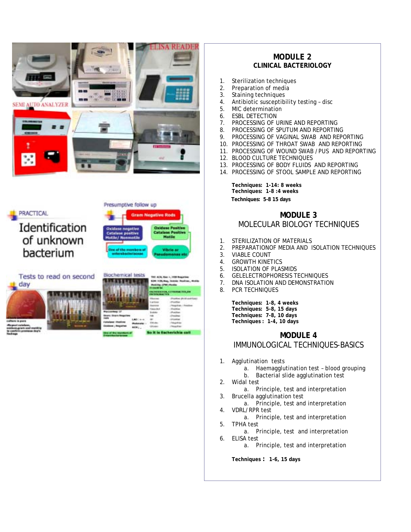



#### **MODULE 2 CLINICAL BACTERIOLOGY**

- 1. Sterilization techniques
- 2. Preparation of media
- 3. Staining techniques
- 4. Antibiotic susceptibility testing disc
- 5. MIC determination
- 6. ESBL DETECTION
- 7. PROCESSING OF URINE AND REPORTING
- 8. PROCESSING OF SPUTUM AND REPORTING
- 9. PROCESSING OF VAGINAL SWAB AND REPORTING
- 10. PROCESSING OF THROAT SWAB AND REPORTING
- 11. PROCESSING OF WOUND SWAB /PUS AND REPORTING
- 12. BLOOD CULTURE TECHNIQUES
- 13. PROCESSING OF BODY FLUIDS AND REPORTING
- 14. PROCESSING OF STOOL SAMPLE AND REPORTING

**Techniques: 1-14: 8 weeks Techniques: 1-8 :4 weeks Techniques: 5-8 15 days** 

## **MODULE 3** MOLECULAR BIOLOGY TECHNIQUES

- 1. STERILIZATION OF MATERIALS
- 2. PREPARATIONOF MEDIA AND ISOLATION TECHNIQUES
- 3. VIABLE COUNT
- 4. GROWTH KINETICS
- 5. ISOLATION OF PLASMIDS
- 6. GELELECTROPHORESIS TECHNIQUES
- 7. DNA ISOLATION AND DEMONSTRATION
- 8. PCR TECHNIQUES

**Techniques: 1-8, 4 weeks Techniques: 5-8, 15 days Techniques: 7-8, 10 days Techniques : 1-4, 10 days**

## **MODULE 4** IMMUNOLOGICAL TECHNIQUES-BASICS

- 1. Agglutination tests
	- a. Haemagglutination test blood grouping
	- b. Bacterial slide agglutination test
- 2. Widal test
	- a. Principle, test and interpretation
- 3. Brucella agglutination test a. Principle, test and interpretation
- 4. VDRL/RPR test a. Principle, test and interpretation
- 5. TPHA test
- a. Principle, test and interpretation 6. ELISA test
	- a. Principle, test and interpretation

**Techniques : 1-6, 15 days**